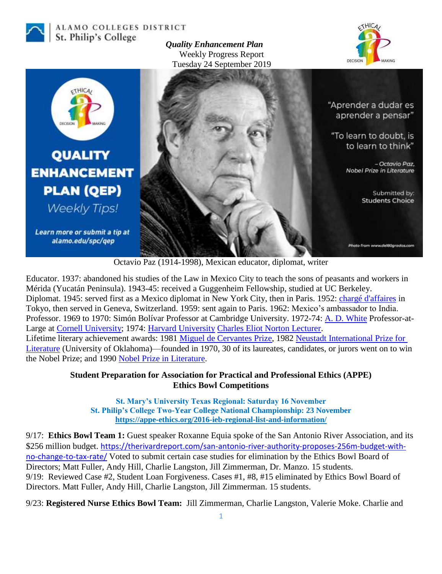

#### ALAMO COLLEGES DISTRICT St. Philip's College

*Quality Enhancement Plan* Weekly Progress Report Tuesday 24 September 2019





Octavio Paz (1914-1998), Mexican educator, diplomat, writer

Educator. 1937: abandoned his studies of the Law in Mexico City to teach the sons of peasants and workers in Mérida (Yucatán Peninsula). 1943-45: received a Guggenheim Fellowship, studied at UC Berkeley. Diplomat. 1945: served first as a Mexico diplomat in New York City, then in Paris. 1952: [chargé d'affaires](https://en.wikipedia.org/wiki/Charg%C3%A9_d%27affaires) in Tokyo, then served in Geneva, Switzerland. 1959: sent again to Paris. 1962: Mexico's ambassador to India. Professor. 1969 to 1970: Simón Bolívar Professor at Cambridge University. 1972-74: [A. D. White](https://en.wikipedia.org/wiki/A._D._White) Professor-at-Large at [Cornell University;](https://en.wikipedia.org/wiki/Cornell_University) 1974: [Harvard University](https://en.wikipedia.org/wiki/Harvard_University) [Charles Eliot Norton Lecturer.](https://en.wikipedia.org/wiki/Charles_Eliot_Norton_Lectures) Lifetime literary achievement awards: 1981 [Miguel de Cervantes Prize,](https://en.wikipedia.org/wiki/Miguel_de_Cervantes_Prize) 1982 [Neustadt International Prize for](https://en.wikipedia.org/wiki/Neustadt_International_Prize_for_Literature)  [Literature](https://en.wikipedia.org/wiki/Neustadt_International_Prize_for_Literature) (University of Oklahoma)—founded in 1970, 30 of its laureates, candidates, or jurors went on to win the Nobel Prize; and 1990 [Nobel Prize in Literature.](https://en.wikipedia.org/wiki/Nobel_Prize_in_Literature)

## **Student Preparation for Association for Practical and Professional Ethics (APPE) Ethics Bowl Competitions**

**St. Mary's University Texas Regional: Saturday 16 November St. Philip's College Two-Year College National Championship: 23 November <https://appe-ethics.org/2016-ieb-regional-list-and-information/>**

9/17: **Ethics Bowl Team 1:** Guest speaker Roxanne Equia spoke of the San Antonio River Association, and its \$256 million budget. [https://therivardreport.com/san-antonio-river-authority-proposes-256m-budget-with](https://therivardreport.com/san-antonio-river-authority-proposes-256m-budget-with-no-change-to-tax-rate/)[no-change-to-tax-rate/](https://therivardreport.com/san-antonio-river-authority-proposes-256m-budget-with-no-change-to-tax-rate/) Voted to submit certain case studies for elimination by the Ethics Bowl Board of Directors; Matt Fuller, Andy Hill, Charlie Langston, Jill Zimmerman, Dr. Manzo. 15 students. 9/19: Reviewed Case #2, Student Loan Forgiveness. Cases #1, #8, #15 eliminated by Ethics Bowl Board of Directors. Matt Fuller, Andy Hill, Charlie Langston, Jill Zimmerman. 15 students.

9/23: **Registered Nurse Ethics Bowl Team:** Jill Zimmerman, Charlie Langston, Valerie Moke. Charlie and